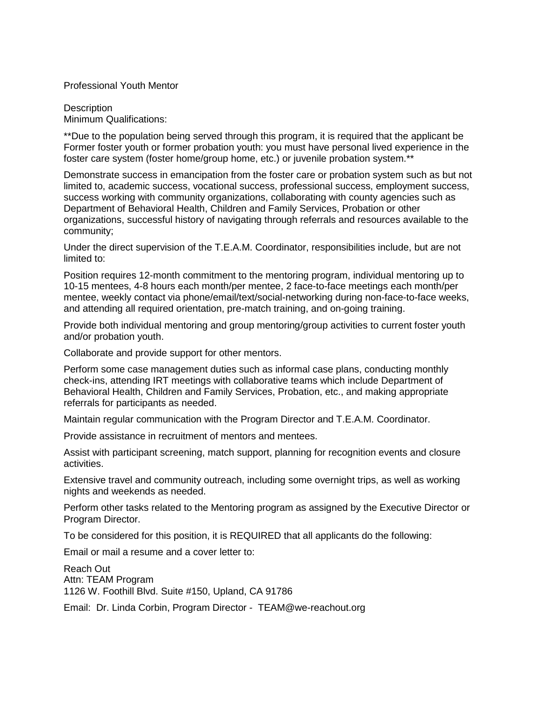Professional Youth Mentor

**Description** Minimum Qualifications:

\*\*Due to the population being served through this program, it is required that the applicant be Former foster youth or former probation youth: you must have personal lived experience in the foster care system (foster home/group home, etc.) or juvenile probation system.\*\*

Demonstrate success in emancipation from the foster care or probation system such as but not limited to, academic success, vocational success, professional success, employment success, success working with community organizations, collaborating with county agencies such as Department of Behavioral Health, Children and Family Services, Probation or other organizations, successful history of navigating through referrals and resources available to the community;

Under the direct supervision of the T.E.A.M. Coordinator, responsibilities include, but are not limited to:

Position requires 12-month commitment to the mentoring program, individual mentoring up to 10-15 mentees, 4-8 hours each month/per mentee, 2 face-to-face meetings each month/per mentee, weekly contact via phone/email/text/social-networking during non-face-to-face weeks, and attending all required orientation, pre-match training, and on-going training.

Provide both individual mentoring and group mentoring/group activities to current foster youth and/or probation youth.

Collaborate and provide support for other mentors.

Perform some case management duties such as informal case plans, conducting monthly check-ins, attending IRT meetings with collaborative teams which include Department of Behavioral Health, Children and Family Services, Probation, etc., and making appropriate referrals for participants as needed.

Maintain regular communication with the Program Director and T.E.A.M. Coordinator.

Provide assistance in recruitment of mentors and mentees.

Assist with participant screening, match support, planning for recognition events and closure activities.

Extensive travel and community outreach, including some overnight trips, as well as working nights and weekends as needed.

Perform other tasks related to the Mentoring program as assigned by the Executive Director or Program Director.

To be considered for this position, it is REQUIRED that all applicants do the following:

Email or mail a resume and a cover letter to:

Reach Out Attn: TEAM Program 1126 W. Foothill Blvd. Suite #150, Upland, CA 91786

Email: Dr. Linda Corbin, Program Director - TEAM@we-reachout.org